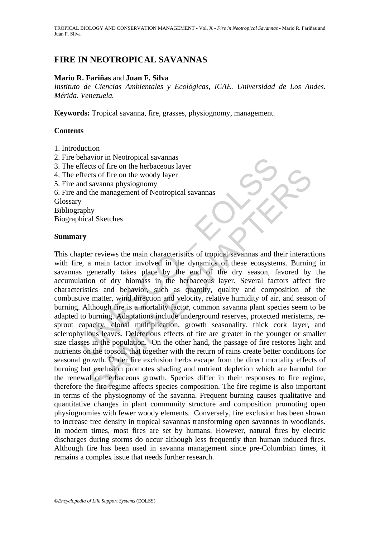TROPICAL BIOLOGY AND CONSERVATION MANAGEMENT - Vol. X - *Fire in Neotropical Savannas* - Mario R. Fariñas and Juan F. Silva

# **FIRE IN NEOTROPICAL SAVANNAS**

## **Mario R. Fariñas** and **Juan F. Silva**

*Instituto de Ciencias Ambientales y Ecológicas, ICAE. Universidad de Los Andes. Mérida. Venezuela.* 

**Keywords:** Tropical savanna, fire, grasses, physiognomy, management.

### **Contents**

- 1. Introduction
- 2. Fire behavior in Neotropical savannas
- 3. The effects of fire on the herbaceous layer
- 4. The effects of fire on the woody layer
- 5. Fire and savanna physiognomy
- 6. Fire and the management of Neotropical savannas

Glossary

Bibliography

Biographical Sketches

### **Summary**

beffects of fire on the herbaceous layer<br>frects of fire on the woody layer<br>and savanna physiognomy<br>and savanna physiognomy<br>and the management of Neotropical savannas<br>y<br>mappy<br>mappy<br>mappy<br>are management of Neotropical savann Cus of me on the motoacous anyce<br>
ets of fire on the woody layer<br>
and Sketches<br>
and Sketches<br>
and Tachconical Savannas<br>
and their interact<br>
and main characteristics of tropical savannas and their interact<br>
and main factor This chapter reviews the main characteristics of tropical savannas and their interactions with fire, a main factor involved in the dynamics of these ecosystems. Burning in savannas generally takes place by the end of the dry season, favored by the accumulation of dry biomass in the herbaceous layer. Several factors affect fire characteristics and behavior, such as quantity, quality and composition of the combustive matter, wind direction and velocity, relative humidity of air, and season of burning. Although fire is a mortality factor, common savanna plant species seem to be adapted to burning. Adaptations include underground reserves, protected meristems, resprout capacity, clonal multiplication, growth seasonality, thick cork layer, and sclerophyllous leaves. Deleterious effects of fire are greater in the younger or smaller size classes in the population. On the other hand, the passage of fire restores light and nutrients on the topsoil, that together with the return of rains create better conditions for seasonal growth. Under fire exclusion herbs escape from the direct mortality effects of burning but exclusion promotes shading and nutrient depletion which are harmful for the renewal of herbaceous growth. Species differ in their responses to fire regime, therefore the fire regime affects species composition. The fire regime is also important in terms of the physiognomy of the savanna. Frequent burning causes qualitative and quantitative changes in plant community structure and composition promoting open physiognomies with fewer woody elements. Conversely, fire exclusion has been shown to increase tree density in tropical savannas transforming open savannas in woodlands. In modern times, most fires are set by humans. However, natural fires by electric discharges during storms do occur although less frequently than human induced fires. Although fire has been used in savanna management since pre-Columbian times, it remains a complex issue that needs further research.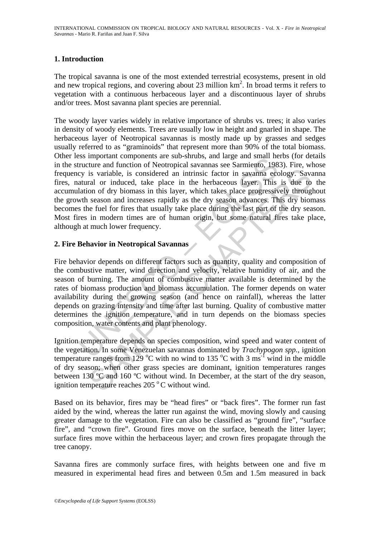## **1. Introduction**

The tropical savanna is one of the most extended terrestrial ecosystems, present in old and new tropical regions, and covering about 23 million  $km<sup>2</sup>$ . In broad terms it refers to vegetation with a continuous herbaceous layer and a discontinuous layer of shrubs and/or trees. Most savanna plant species are perennial.

Essamplotation transposses and valuation and linear sub-sinuous, and angle and sinual neutron and function of Neotropical savannas see Sarmiento, 198<br>cy is variable, is considered an intrinsic factor in savanna ecc<br>atural The woody layer varies widely in relative importance of shrubs vs. trees; it also varies in density of woody elements. Trees are usually low in height and gnarled in shape. The herbaceous layer of Neotropical savannas is mostly made up by grasses and sedges usually referred to as "graminoids" that represent more than 90% of the total biomass. Other less important components are sub-shrubs, and large and small herbs (for details in the structure and function of Neotropical savannas see Sarmiento, 1983). Fire, whose frequency is variable, is considered an intrinsic factor in savanna ecology. Savanna fires, natural or induced, take place in the herbaceous layer. This is due to the accumulation of dry biomass in this layer, which takes place progressively throughout the growth season and increases rapidly as the dry season advances. This dry biomass becomes the fuel for fires that usually take place during the last part of the dry season. Most fires in modern times are of human origin, but some natural fires take place, although at much lower frequency.

## **2. Fire Behavior in Neotropical Savannas**

is variable, is considered an intrinsic factor in savanna ecology. Savial or induced, take place in the herbaceous layer. This is due to on of dry biomass in this layer, which takes place progressively through season and Fire behavior depends on different factors such as quantity, quality and composition of the combustive matter, wind direction and velocity, relative humidity of air, and the season of burning. The amount of combustive matter available is determined by the rates of biomass production and biomass accumulation. The former depends on water availability during the growing season (and hence on rainfall), whereas the latter depends on grazing intensity and time after last burning. Quality of combustive matter determines the ignition temperature, and in turn depends on the biomass species composition, water contents and plant phenology.

Ignition temperature depends on species composition, wind speed and water content of the vegetation. In some Venezuelan savannas dominated by *Trachypogon spp.,* ignition temperature ranges from 129 °C with no wind to 135 °C with 3 ms<sup>-1</sup> wind in the middle of dry season; when other grass species are dominant, ignition temperatures ranges between 130 ºC and 160 ºC without wind. In December, at the start of the dry season, ignition temperature reaches  $205\,^{\circ}$ C without wind.

Based on its behavior, fires may be "head fires" or "back fires". The former run fast aided by the wind, whereas the latter run against the wind, moving slowly and causing greater damage to the vegetation. Fire can also be classified as "ground fire", "surface fire", and "crown fire". Ground fires move on the surface, beneath the litter layer; surface fires move within the herbaceous layer; and crown fires propagate through the tree canopy.

Savanna fires are commonly surface fires, with heights between one and five m measured in experimental head fires and between 0.5m and 1.5m measured in back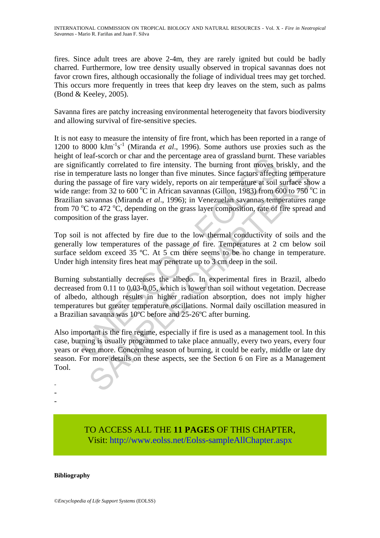fires. Since adult trees are above 2-4m, they are rarely ignited but could be badly charred. Furthermore, low tree density usually observed in tropical savannas does not favor crown fires, although occasionally the foliage of individual trees may get torched. This occurs more frequently in trees that keep dry leaves on the stem, such as palms (Bond & Keeley, 2005).

Savanna fires are patchy increasing environmental heterogeneity that favors biodiversity and allowing survival of fire-sensitive species.

in ela-sociol of clara une petcelage area or grassian ount.<br>
in fear-sociol of and une petcelage area or grassian ount.<br>
inframtly correlated to fire intensity. The burning front moves bemperature lasts no longer than five perature lasts no longer than five minutes. Since factors affecting temperature lasts no longer than five minutes. Since factors affecting temperature as so for  $\alpha$  in Arrican savannas (Gillon, 1983) from 620 or  $\alpha$  in It is not easy to measure the intensity of fire front, which has been reported in a range of 1200 to 8000 kJm-1 s -1 (Miranda *et al*., 1996). Some authors use proxies such as the height of leaf-scorch or char and the percentage area of grassland burnt. These variables are significantly correlated to fire intensity. The burning front moves briskly, and the rise in temperature lasts no longer than five minutes. Since factors affecting temperature during the passage of fire vary widely, reports on air temperature at soil surface show a wide range: from 32 to 600 °C in African savannas (Gillon, 1983) from 600 to 750 °C in Brazilian savannas (Miranda *et al*., 1996); in Venezuelan savannas temperatures range from 70 °C to 472 °C, depending on the grass layer composition, rate of fire spread and composition of the grass layer.

Top soil is not affected by fire due to the low thermal conductivity of soils and the generally low temperatures of the passage of fire. Temperatures at 2 cm below soil surface seldom exceed 35 °C. At 5 cm there seems to be no change in temperature. Under high intensity fires heat may penetrate up to 3 cm deep in the soil.

Burning substantially decreases the albedo. In experimental fires in Brazil, albedo decreased from 0.11 to 0.03-0.05, which is lower than soil without vegetation. Decrease of albedo, although results in higher radiation absorption, does not imply higher temperatures but greater temperature oscillations. Normal daily oscillation measured in a Brazilian savanna was 10ºC before and 25-26ºC after burning.

Also important is the fire regime, especially if fire is used as a management tool. In this case, burning is usually programmed to take place annually, every two years, every four years or even more. Concerning season of burning, it could be early, middle or late dry season. For more details on these aspects, see the Section 6 on Fire as a Management Tool.

- -

-

TO ACCESS ALL THE **11 PAGES** OF THIS CHAPTER, Visit[: http://www.eolss.net/Eolss-sampleAllChapter.aspx](https://www.eolss.net/ebooklib/sc_cart.aspx?File=E6-142-SE-05)

#### **Bibliography**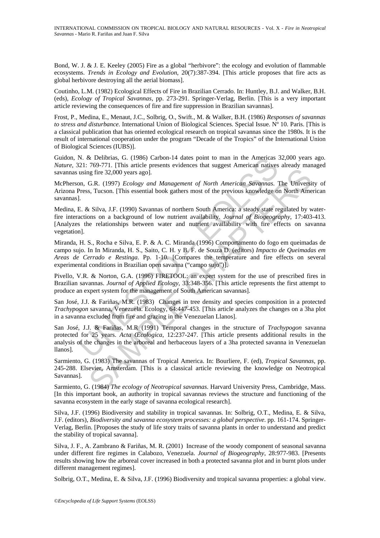Bond, W. J. & J. E. Keeley (2005) Fire as a global "herbivore": the ecology and evolution of flammable ecosystems. *Trends in Ecology and Evolution*, 20(7):387-394. [This article proposes that fire acts as global herbivore destroying all the aerial biomass].

Coutinho, L.M. (1982) Ecological Effects of Fire in Brazilian Cerrado. In: Huntley, B.J. and Walker, B.H. (eds), *Ecology of Tropical Savannas*, pp. 273-291. Springer-Verlag, Berlin. [This is a very important article reviewing the consequences of fire and fire suppression in Brazilian savannas].

Frost, P., Medina, E., Menaut, J.C., Solbrig, O., Swift., M. & Walker, B.H. (1986) *Responses of savannas to stress and disturbance*. International Union of Biological Sciences. Special Issue. Nº 10. Paris. [This is a classical publication that has oriented ecological research on tropical savannas since the 1980s. It is the result of international cooperation under the program "Decade of the Tropics" of the International Union of Biological Sciences (IUBS)].

Guidon, N. & Delibrias, G. (1986) Carbon-14 dates point to man in the Americas 32,000 years ago. *Nature*, 321: 769-771. [This article presents evidences that suggest American natives already managed savannas using fire 32,000 years ago].

McPherson, G.R. (1997) *Ecology and Management of North American Savannas*. The University of Arizona Press, Tucson. [This essential book gathers most of the previous knowledge on North American savannas].

N. & Delibrias, G. (1986) Carbon-14 dates point to man in the Americas is<br>
2.21: 769-771. [This article presents evidences that suggest American natives<br>
1.21: 769-771. [This article presents evidences that suggest America ing fire 32,000 years ago].<br>
G.R. (1997) *Ecology and Management of North American Savannas*. The Universis, Tucson. [This essential book gathers most of the previous knowledge on North America, 8. Fucson. [This essential Medina, E. & Silva, J.F. (1990) Savannas of northern South America: a steady state regulated by waterfire interactions on a background of low nutrient availability. *Journal of Biogeography*, 17:403-413. [Analyzes the relationships between water and nutrient availability with fire effects on savanna vegetation].

Miranda, H. S., Rocha e Silva, E. P. & A. C. Miranda (1996) Comportamento do fogo em queimadas de campo sujo. In In Miranda, H. S., Saito, C. H. y B. F. de Souza D. (editors) *Impacto de Queimadas em Areas de Cerrado e Restinga*. Pp. 1-10. [Compares the temperature and fire effects on several experimental conditions in Brazilian open savanna ("campo sujo")].

Pivello, V.R. & Norton, G.A. (1996) FIRETOOL: an expert system for the use of prescribed fires in Brazilian savannas. *Journal of Applied Ecology*, 33:348-356. [This article represents the first attempt to produce an expert system for the management of South American savannas].

San José, J.J. & Fariñas, M.R. (1983) Changes in tree density and species composition in a protected *Trachypogon* savanna, Venezuela. Ecology, 64:447-453. [This article analyzes the changes on a 3ha plot in a savanna excluded from fire and grazing in the Venezuelan Llanos].

San José, J.J. & Fariñas, M.R (1991) Temporal changes in the structure of *Trachypogon* savanna protected for 25 years. *Acta Œcologica*, 12:237-247. [This article presents additional results in the analysis of the changes in the arboreal and herbaceous layers of a 3ha protected savanna in Venezuelan llanos].

Sarmiento, G. (1983) The savannas of Tropical America. In: Bourliere, F. (ed), *Tropical Savannas*, pp. 245-288. Elsevier, Amsterdam. [This is a classical article reviewing the knowledge on Neotropical Savannas].

Sarmiento, G. (1984) *The ecology of Neotropical savannas*. Harvard University Press, Cambridge, Mass. [In this important book, an authority in tropical savannas reviews the structure and functioning of the savanna ecosystem in the early stage of savanna ecological research].

Silva, J.F. (1996) Biodiversity and stability in tropical savannas. In: Solbrig, O.T., Medina, E. & Silva, J.F. (editors), *Biodiversity and savanna ecosystem processes: a global perspective*. pp. 161-174. Springer-Verlag, Berlin. [Proposes the study of life story traits of savanna plants in order to understand and predict the stability of tropical savanna].

Silva, J. F., A. Zambrano & Fariñas, M. R. (2001) Increase of the woody component of seasonal savanna under different fire regimes in Calabozo, Venezuela. *Journal of Biogeography*, 28:977-983. [Presents results showing how the arboreal cover increased in both a protected savanna plot and in burnt plots under different management regimes].

Solbrig, O.T., Medina, E. & Silva, J.F. (1996) Biodiversity and tropical savanna properties: a global view.